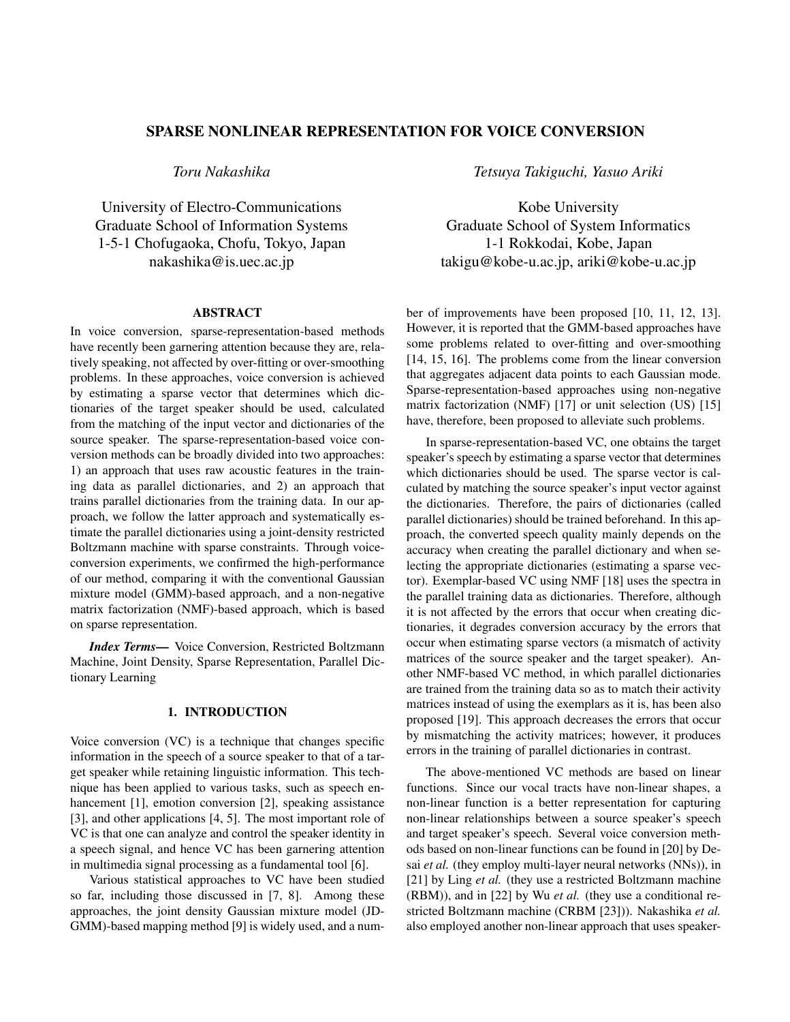# SPARSE NONLINEAR REPRESENTATION FOR VOICE CONVERSION

*Toru Nakashika*

University of Electro-Communications Graduate School of Information Systems 1-5-1 Chofugaoka, Chofu, Tokyo, Japan nakashika@is.uec.ac.jp

#### ABSTRACT

In voice conversion, sparse-representation-based methods have recently been garnering attention because they are, relatively speaking, not affected by over-fitting or over-smoothing problems. In these approaches, voice conversion is achieved by estimating a sparse vector that determines which dictionaries of the target speaker should be used, calculated from the matching of the input vector and dictionaries of the source speaker. The sparse-representation-based voice conversion methods can be broadly divided into two approaches: 1) an approach that uses raw acoustic features in the training data as parallel dictionaries, and 2) an approach that trains parallel dictionaries from the training data. In our approach, we follow the latter approach and systematically estimate the parallel dictionaries using a joint-density restricted Boltzmann machine with sparse constraints. Through voiceconversion experiments, we confirmed the high-performance of our method, comparing it with the conventional Gaussian mixture model (GMM)-based approach, and a non-negative matrix factorization (NMF)-based approach, which is based on sparse representation.

*Index Terms*— Voice Conversion, Restricted Boltzmann Machine, Joint Density, Sparse Representation, Parallel Dictionary Learning

## 1. INTRODUCTION

Voice conversion (VC) is a technique that changes specific information in the speech of a source speaker to that of a target speaker while retaining linguistic information. This technique has been applied to various tasks, such as speech enhancement [1], emotion conversion [2], speaking assistance [3], and other applications [4, 5]. The most important role of VC is that one can analyze and control the speaker identity in a speech signal, and hence VC has been garnering attention in multimedia signal processing as a fundamental tool [6].

Various statistical approaches to VC have been studied so far, including those discussed in [7, 8]. Among these approaches, the joint density Gaussian mixture model (JD-GMM)-based mapping method [9] is widely used, and a num*Tetsuya Takiguchi, Yasuo Ariki*

Kobe University Graduate School of System Informatics 1-1 Rokkodai, Kobe, Japan takigu@kobe-u.ac.jp, ariki@kobe-u.ac.jp

ber of improvements have been proposed [10, 11, 12, 13]. However, it is reported that the GMM-based approaches have some problems related to over-fitting and over-smoothing [14, 15, 16]. The problems come from the linear conversion that aggregates adjacent data points to each Gaussian mode. Sparse-representation-based approaches using non-negative matrix factorization (NMF) [17] or unit selection (US) [15] have, therefore, been proposed to alleviate such problems.

In sparse-representation-based VC, one obtains the target speaker's speech by estimating a sparse vector that determines which dictionaries should be used. The sparse vector is calculated by matching the source speaker's input vector against the dictionaries. Therefore, the pairs of dictionaries (called parallel dictionaries) should be trained beforehand. In this approach, the converted speech quality mainly depends on the accuracy when creating the parallel dictionary and when selecting the appropriate dictionaries (estimating a sparse vector). Exemplar-based VC using NMF [18] uses the spectra in the parallel training data as dictionaries. Therefore, although it is not affected by the errors that occur when creating dictionaries, it degrades conversion accuracy by the errors that occur when estimating sparse vectors (a mismatch of activity matrices of the source speaker and the target speaker). Another NMF-based VC method, in which parallel dictionaries are trained from the training data so as to match their activity matrices instead of using the exemplars as it is, has been also proposed [19]. This approach decreases the errors that occur by mismatching the activity matrices; however, it produces errors in the training of parallel dictionaries in contrast.

The above-mentioned VC methods are based on linear functions. Since our vocal tracts have non-linear shapes, a non-linear function is a better representation for capturing non-linear relationships between a source speaker's speech and target speaker's speech. Several voice conversion methods based on non-linear functions can be found in [20] by Desai *et al.* (they employ multi-layer neural networks (NNs)), in [21] by Ling *et al.* (they use a restricted Boltzmann machine (RBM)), and in [22] by Wu *et al.* (they use a conditional restricted Boltzmann machine (CRBM [23])). Nakashika *et al.* also employed another non-linear approach that uses speaker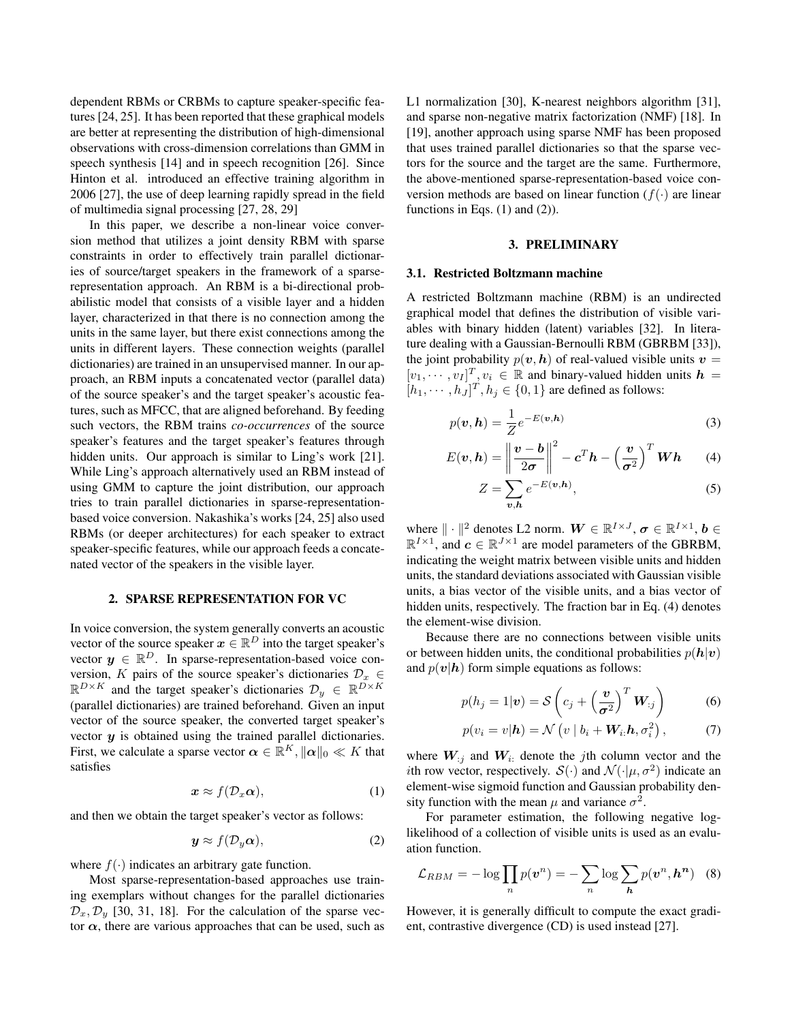dependent RBMs or CRBMs to capture speaker-specific features [24, 25]. It has been reported that these graphical models are better at representing the distribution of high-dimensional observations with cross-dimension correlations than GMM in speech synthesis [14] and in speech recognition [26]. Since Hinton et al. introduced an effective training algorithm in 2006 [27], the use of deep learning rapidly spread in the field of multimedia signal processing [27, 28, 29]

In this paper, we describe a non-linear voice conversion method that utilizes a joint density RBM with sparse constraints in order to effectively train parallel dictionaries of source/target speakers in the framework of a sparserepresentation approach. An RBM is a bi-directional probabilistic model that consists of a visible layer and a hidden layer, characterized in that there is no connection among the units in the same layer, but there exist connections among the units in different layers. These connection weights (parallel dictionaries) are trained in an unsupervised manner. In our approach, an RBM inputs a concatenated vector (parallel data) of the source speaker's and the target speaker's acoustic features, such as MFCC, that are aligned beforehand. By feeding such vectors, the RBM trains *co-occurrences* of the source speaker's features and the target speaker's features through hidden units. Our approach is similar to Ling's work [21]. While Ling's approach alternatively used an RBM instead of using GMM to capture the joint distribution, our approach tries to train parallel dictionaries in sparse-representationbased voice conversion. Nakashika's works [24, 25] also used RBMs (or deeper architectures) for each speaker to extract speaker-specific features, while our approach feeds a concatenated vector of the speakers in the visible layer.

#### 2. SPARSE REPRESENTATION FOR VC

In voice conversion, the system generally converts an acoustic vector of the source speaker  $x \in \mathbb{R}^D$  into the target speaker's vector  $y \in \mathbb{R}^D$ . In sparse-representation-based voice conversion, K pairs of the source speaker's dictionaries  $\mathcal{D}_x \in$  $\mathbb{R}^{D\times K}$  and the target speaker's dictionaries  $\mathcal{D}_y \in \mathbb{R}^{D\times K}$ (parallel dictionaries) are trained beforehand. Given an input vector of the source speaker, the converted target speaker's vector  $y$  is obtained using the trained parallel dictionaries. First, we calculate a sparse vector  $\boldsymbol{\alpha} \in \mathbb{R}^K$ ,  $\|\boldsymbol{\alpha}\|_0 \ll K$  that satisfies

$$
x \approx f(\mathcal{D}_x \alpha), \tag{1}
$$

and then we obtain the target speaker's vector as follows:

$$
\mathbf{y} \approx f(\mathcal{D}_y \boldsymbol{\alpha}),\tag{2}
$$

where  $f(\cdot)$  indicates an arbitrary gate function.

Most sparse-representation-based approaches use training exemplars without changes for the parallel dictionaries  $\mathcal{D}_x, \mathcal{D}_y$  [30, 31, 18]. For the calculation of the sparse vector  $\alpha$ , there are various approaches that can be used, such as L1 normalization [30], K-nearest neighbors algorithm [31], and sparse non-negative matrix factorization (NMF) [18]. In [19], another approach using sparse NMF has been proposed that uses trained parallel dictionaries so that the sparse vectors for the source and the target are the same. Furthermore, the above-mentioned sparse-representation-based voice conversion methods are based on linear function ( $f(.)$ ) are linear functions in Eqs.  $(1)$  and  $(2)$ ).

#### 3. PRELIMINARY

## 3.1. Restricted Boltzmann machine

A restricted Boltzmann machine (RBM) is an undirected graphical model that defines the distribution of visible variables with binary hidden (latent) variables [32]. In literature dealing with a Gaussian-Bernoulli RBM (GBRBM [33]), the joint probability  $p(v, h)$  of real-valued visible units  $v =$  $[v_1, \dots, v_I]^T$ ,  $v_i \in \mathbb{R}$  and binary-valued hidden units  $h =$  $[h_1, \dots, h_J]^T, h_j \in \{0, 1\}$  are defined as follows:

$$
p(\boldsymbol{v}, \boldsymbol{h}) = \frac{1}{Z} e^{-E(\boldsymbol{v}, \boldsymbol{h})}
$$
\n(3)

$$
E(\boldsymbol{v}, \boldsymbol{h}) = \left\| \frac{\boldsymbol{v} - \boldsymbol{b}}{2\sigma} \right\|^2 - \boldsymbol{c}^T \boldsymbol{h} - \left(\frac{\boldsymbol{v}}{\sigma^2}\right)^T \boldsymbol{W} \boldsymbol{h} \qquad (4)
$$

$$
Z = \sum_{v,h} e^{-E(v,h)},\tag{5}
$$

where  $\|\cdot\|^2$  denotes L2 norm.  $W \in \mathbb{R}^{I \times J}$ ,  $\sigma \in \mathbb{R}^{I \times 1}$ ,  $b \in$  $\mathbb{R}^{I \times 1}$ , and  $c \in \mathbb{R}^{J \times 1}$  are model parameters of the GBRBM, indicating the weight matrix between visible units and hidden units, the standard deviations associated with Gaussian visible units, a bias vector of the visible units, and a bias vector of hidden units, respectively. The fraction bar in Eq. (4) denotes the element-wise division.

Because there are no connections between visible units or between hidden units, the conditional probabilities  $p(\mathbf{h}|\mathbf{v})$ and  $p(\mathbf{v}|\mathbf{h})$  form simple equations as follows:

$$
p(h_j = 1|\mathbf{v}) = \mathcal{S}\left(c_j + \left(\frac{\mathbf{v}}{\sigma^2}\right)^T \mathbf{W}_{:j}\right) \tag{6}
$$

$$
p(v_i = v | \boldsymbol{h}) = \mathcal{N}\left(v \mid b_i + \boldsymbol{W}_i \cdot \boldsymbol{h}, \sigma_i^2\right),\tag{7}
$$

where  $W_{i,j}$  and  $W_{i,j}$  denote the jth column vector and the *i*th row vector, respectively.  $S(\cdot)$  and  $\mathcal{N}(\cdot | \mu, \sigma^2)$  indicate an element-wise sigmoid function and Gaussian probability density function with the mean  $\mu$  and variance  $\sigma^2$ .

For parameter estimation, the following negative loglikelihood of a collection of visible units is used as an evaluation function.

$$
\mathcal{L}_{RBM} = -\log \prod_{n} p(\boldsymbol{v}^{n}) = -\sum_{n} \log \sum_{\boldsymbol{h}} p(\boldsymbol{v}^{n}, \boldsymbol{h}^{\boldsymbol{n}}) \quad (8)
$$

However, it is generally difficult to compute the exact gradient, contrastive divergence (CD) is used instead [27].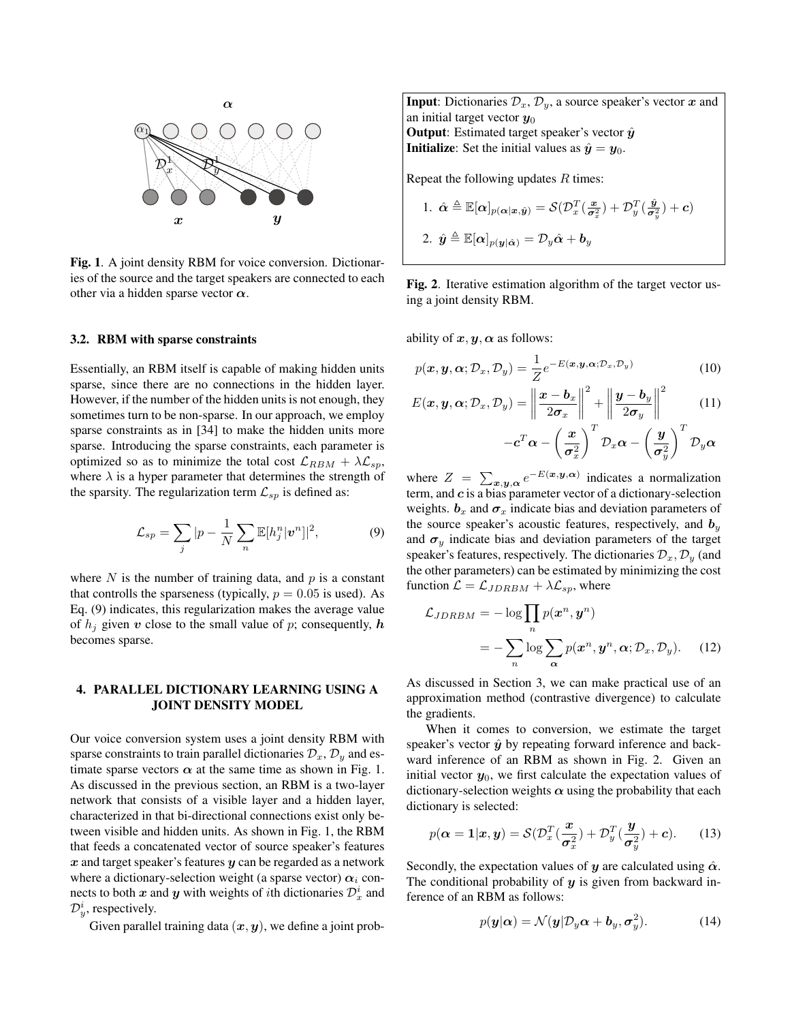

Fig. 1. A joint density RBM for voice conversion. Dictionaries of the source and the target speakers are connected to each other via a hidden sparse vector  $\alpha$ .

#### 3.2. RBM with sparse constraints

Essentially, an RBM itself is capable of making hidden units sparse, since there are no connections in the hidden layer. However, if the number of the hidden units is not enough, they sometimes turn to be non-sparse. In our approach, we employ sparse constraints as in [34] to make the hidden units more sparse. Introducing the sparse constraints, each parameter is optimized so as to minimize the total cost  $\mathcal{L}_{RBM} + \lambda \mathcal{L}_{sp}$ , where  $\lambda$  is a hyper parameter that determines the strength of the sparsity. The regularization term  $\mathcal{L}_{sp}$  is defined as:

$$
\mathcal{L}_{sp} = \sum_{j} |p - \frac{1}{N} \sum_{n} \mathbb{E}[h_j^n | \boldsymbol{v}^n]|^2, \tag{9}
$$

where  $N$  is the number of training data, and  $p$  is a constant that controlls the sparseness (typically,  $p = 0.05$  is used). As Eq. (9) indicates, this regularization makes the average value of  $h_i$  given v close to the small value of p; consequently, h becomes sparse.

## 4. PARALLEL DICTIONARY LEARNING USING A JOINT DENSITY MODEL

Our voice conversion system uses a joint density RBM with sparse constraints to train parallel dictionaries  $\mathcal{D}_x$ ,  $\mathcal{D}_y$  and estimate sparse vectors  $\alpha$  at the same time as shown in Fig. 1. As discussed in the previous section, an RBM is a two-layer network that consists of a visible layer and a hidden layer, characterized in that bi-directional connections exist only between visible and hidden units. As shown in Fig. 1, the RBM that feeds a concatenated vector of source speaker's features  $x$  and target speaker's features  $y$  can be regarded as a network where a dictionary-selection weight (a sparse vector)  $\alpha_i$  connects to both x and y with weights of *i*th dictionaries  $\mathcal{D}_x^i$  and  $\mathcal{D}_{y}^{i}$ , respectively.

Given parallel training data  $(x, y)$ , we define a joint prob-

**Input**: Dictionaries  $\mathcal{D}_x$ ,  $\mathcal{D}_y$ , a source speaker's vector x and an initial target vector  $y_0$ **Output**: Estimated target speaker's vector  $\hat{y}$ **Initialize:** Set the initial values as  $\hat{y} = y_0$ .

Repeat the following updates  $R$  times:

1. 
$$
\hat{\boldsymbol{\alpha}} \triangleq \mathbb{E}[\boldsymbol{\alpha}]_{p(\boldsymbol{\alpha}|\boldsymbol{x},\hat{\boldsymbol{y}})} = \mathcal{S}(\mathcal{D}_x^T(\frac{\boldsymbol{x}}{\sigma_x^2}) + \mathcal{D}_y^T(\frac{\hat{\boldsymbol{y}}}{\sigma_y^2}) + \boldsymbol{c})
$$
  
\n2.  $\hat{\boldsymbol{y}} \triangleq \mathbb{E}[\boldsymbol{\alpha}]_{p(\boldsymbol{y}|\hat{\boldsymbol{\alpha}})} = \mathcal{D}_y\hat{\boldsymbol{\alpha}} + \boldsymbol{b}_y$ 

Fig. 2. Iterative estimation algorithm of the target vector using a joint density RBM.

ability of  $x, y, \alpha$  as follows:

$$
p(\boldsymbol{x}, \boldsymbol{y}, \boldsymbol{\alpha}; \mathcal{D}_x, \mathcal{D}_y) = \frac{1}{Z} e^{-E(\boldsymbol{x}, \boldsymbol{y}, \boldsymbol{\alpha}; \mathcal{D}_x, \mathcal{D}_y)}
$$
(10)

$$
E(\boldsymbol{x}, \boldsymbol{y}, \boldsymbol{\alpha}; \mathcal{D}_x, \mathcal{D}_y) = \left\| \frac{\boldsymbol{x} - \boldsymbol{b}_x}{2\sigma_x} \right\|^2 + \left\| \frac{\boldsymbol{y} - \boldsymbol{b}_y}{2\sigma_y} \right\|^2 \qquad (11)
$$

$$
-c^T \boldsymbol{\alpha} - \left(\frac{\boldsymbol{x}}{\sigma^2}\right)^T \mathcal{D}_x \boldsymbol{\alpha} - \left(\frac{\boldsymbol{y}}{\sigma^2}\right)^T \mathcal{D}_y \boldsymbol{\alpha}
$$

 $\pmb{\sigma}^2_x$  $\pmb{\sigma}_y^2$ where  $Z = \sum_{x,y,\alpha} e^{-E(x,y,\alpha)}$  indicates a normalization term, and  $c$  is a bias parameter vector of a dictionary-selection weights.  $b_x$  and  $\sigma_x$  indicate bias and deviation parameters of the source speaker's acoustic features, respectively, and  $b_y$ and  $\sigma_y$  indicate bias and deviation parameters of the target speaker's features, respectively. The dictionaries  $\mathcal{D}_x, \mathcal{D}_y$  (and the other parameters) can be estimated by minimizing the cost function  $\mathcal{L} = \mathcal{L}_{JDRBM} + \lambda \mathcal{L}_{sp}$ , where

$$
\mathcal{L}_{JDRBM} = -\log \prod_{n} p(\boldsymbol{x}^n, \boldsymbol{y}^n)
$$

$$
= -\sum_{n} \log \sum_{\boldsymbol{\alpha}} p(\boldsymbol{x}^n, \boldsymbol{y}^n, \boldsymbol{\alpha}; \mathcal{D}_x, \mathcal{D}_y). \tag{12}
$$

As discussed in Section 3, we can make practical use of an approximation method (contrastive divergence) to calculate the gradients.

When it comes to conversion, we estimate the target speaker's vector  $\hat{y}$  by repeating forward inference and backward inference of an RBM as shown in Fig. 2. Given an initial vector  $y_0$ , we first calculate the expectation values of dictionary-selection weights  $\alpha$  using the probability that each dictionary is selected:

$$
p(\boldsymbol{\alpha} = \mathbf{1} | \boldsymbol{x}, \boldsymbol{y}) = \mathcal{S}(\mathcal{D}_{\boldsymbol{x}}^T(\frac{\boldsymbol{x}}{\sigma_{\boldsymbol{x}}^2}) + \mathcal{D}_{\boldsymbol{y}}^T(\frac{\boldsymbol{y}}{\sigma_{\boldsymbol{y}}^2}) + \boldsymbol{c}).
$$
 (13)

Secondly, the expectation values of y are calculated using  $\hat{\alpha}$ . The conditional probability of  $y$  is given from backward inference of an RBM as follows:

$$
p(\mathbf{y}|\alpha) = \mathcal{N}(\mathbf{y}|\mathcal{D}_y\alpha + \mathbf{b}_y, \sigma_y^2). \tag{14}
$$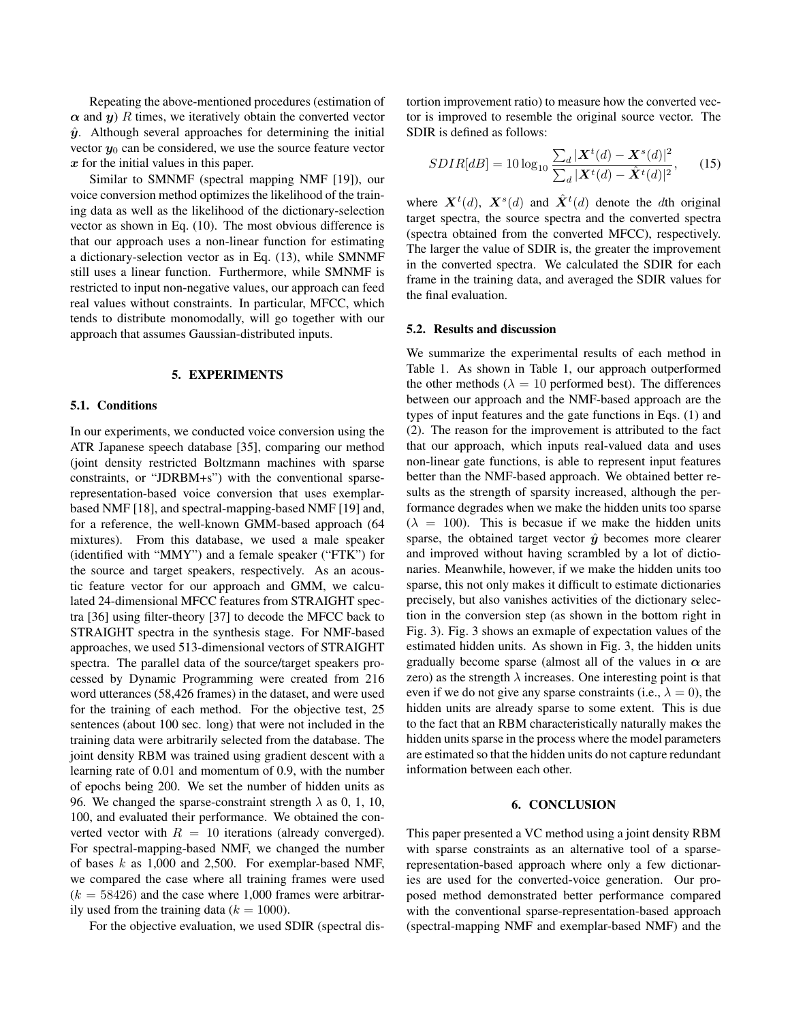Repeating the above-mentioned procedures (estimation of  $\alpha$  and  $y$ ) R times, we iteratively obtain the converted vector  $\hat{y}$ . Although several approaches for determining the initial vector  $y_0$  can be considered, we use the source feature vector  $x$  for the initial values in this paper.

Similar to SMNMF (spectral mapping NMF [19]), our voice conversion method optimizes the likelihood of the training data as well as the likelihood of the dictionary-selection vector as shown in Eq. (10). The most obvious difference is that our approach uses a non-linear function for estimating a dictionary-selection vector as in Eq. (13), while SMNMF still uses a linear function. Furthermore, while SMNMF is restricted to input non-negative values, our approach can feed real values without constraints. In particular, MFCC, which tends to distribute monomodally, will go together with our approach that assumes Gaussian-distributed inputs.

## 5. EXPERIMENTS

## 5.1. Conditions

In our experiments, we conducted voice conversion using the ATR Japanese speech database [35], comparing our method (joint density restricted Boltzmann machines with sparse constraints, or "JDRBM+s") with the conventional sparserepresentation-based voice conversion that uses exemplarbased NMF [18], and spectral-mapping-based NMF [19] and, for a reference, the well-known GMM-based approach (64 mixtures). From this database, we used a male speaker (identified with "MMY") and a female speaker ("FTK") for the source and target speakers, respectively. As an acoustic feature vector for our approach and GMM, we calculated 24-dimensional MFCC features from STRAIGHT spectra [36] using filter-theory [37] to decode the MFCC back to STRAIGHT spectra in the synthesis stage. For NMF-based approaches, we used 513-dimensional vectors of STRAIGHT spectra. The parallel data of the source/target speakers processed by Dynamic Programming were created from 216 word utterances (58,426 frames) in the dataset, and were used for the training of each method. For the objective test, 25 sentences (about 100 sec. long) that were not included in the training data were arbitrarily selected from the database. The joint density RBM was trained using gradient descent with a learning rate of 0.01 and momentum of 0.9, with the number of epochs being 200. We set the number of hidden units as 96. We changed the sparse-constraint strength  $\lambda$  as 0, 1, 10, 100, and evaluated their performance. We obtained the converted vector with  $R = 10$  iterations (already converged). For spectral-mapping-based NMF, we changed the number of bases  $k$  as 1,000 and 2,500. For exemplar-based NMF, we compared the case where all training frames were used  $(k = 58426)$  and the case where 1,000 frames were arbitrarily used from the training data ( $k = 1000$ ).

For the objective evaluation, we used SDIR (spectral dis-

tortion improvement ratio) to measure how the converted vector is improved to resemble the original source vector. The SDIR is defined as follows:

$$
SDIR[dB] = 10 \log_{10} \frac{\sum_{d} |\mathbf{X}^{t}(d) - \mathbf{X}^{s}(d)|^{2}}{\sum_{d} |\mathbf{X}^{t}(d) - \hat{\mathbf{X}}^{t}(d)|^{2}},\qquad(15)
$$

where  $\mathbf{X}^{t}(d)$ ,  $\mathbf{X}^{s}(d)$  and  $\hat{\mathbf{X}}^{t}(d)$  denote the dth original target spectra, the source spectra and the converted spectra (spectra obtained from the converted MFCC), respectively. The larger the value of SDIR is, the greater the improvement in the converted spectra. We calculated the SDIR for each frame in the training data, and averaged the SDIR values for the final evaluation.

## 5.2. Results and discussion

We summarize the experimental results of each method in Table 1. As shown in Table 1, our approach outperformed the other methods ( $\lambda = 10$  performed best). The differences between our approach and the NMF-based approach are the types of input features and the gate functions in Eqs. (1) and (2). The reason for the improvement is attributed to the fact that our approach, which inputs real-valued data and uses non-linear gate functions, is able to represent input features better than the NMF-based approach. We obtained better results as the strength of sparsity increased, although the performance degrades when we make the hidden units too sparse  $(\lambda = 100)$ . This is becasue if we make the hidden units sparse, the obtained target vector  $\hat{y}$  becomes more clearer and improved without having scrambled by a lot of dictionaries. Meanwhile, however, if we make the hidden units too sparse, this not only makes it difficult to estimate dictionaries precisely, but also vanishes activities of the dictionary selection in the conversion step (as shown in the bottom right in Fig. 3). Fig. 3 shows an exmaple of expectation values of the estimated hidden units. As shown in Fig. 3, the hidden units gradually become sparse (almost all of the values in  $\alpha$  are zero) as the strength  $\lambda$  increases. One interesting point is that even if we do not give any sparse constraints (i.e.,  $\lambda = 0$ ), the hidden units are already sparse to some extent. This is due to the fact that an RBM characteristically naturally makes the hidden units sparse in the process where the model parameters are estimated so that the hidden units do not capture redundant information between each other.

#### 6. CONCLUSION

This paper presented a VC method using a joint density RBM with sparse constraints as an alternative tool of a sparserepresentation-based approach where only a few dictionaries are used for the converted-voice generation. Our proposed method demonstrated better performance compared with the conventional sparse-representation-based approach (spectral-mapping NMF and exemplar-based NMF) and the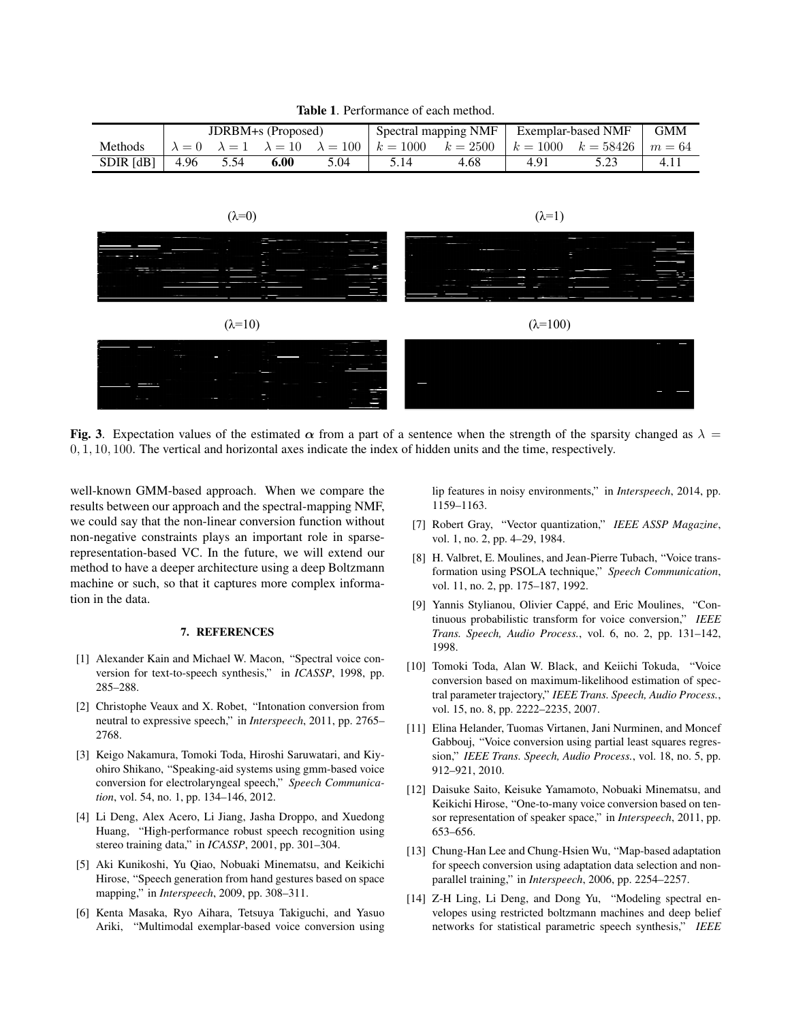Table 1. Performance of each method.

|                  | <b>JDRBM+s</b> (Proposed) |      |      |      | Spectral mapping NMF |                                                                                  | Exemplar-based NMF |                                 | GMM  |
|------------------|---------------------------|------|------|------|----------------------|----------------------------------------------------------------------------------|--------------------|---------------------------------|------|
| Methods          |                           |      |      |      |                      | $\lambda = 0$ $\lambda = 1$ $\lambda = 10$ $\lambda = 100$ $k = 1000$ $k = 2500$ |                    | $k = 1000$ $k = 58426$ $m = 64$ |      |
| <b>SDIR</b> [dB] | 4.96                      | 5.54 | 6.00 | 5.04 |                      | 4.68                                                                             |                    |                                 | 4.11 |



Fig. 3. Expectation values of the estimated  $\alpha$  from a part of a sentence when the strength of the sparsity changed as  $\lambda =$ 0, 1, 10, 100. The vertical and horizontal axes indicate the index of hidden units and the time, respectively.

well-known GMM-based approach. When we compare the results between our approach and the spectral-mapping NMF, we could say that the non-linear conversion function without non-negative constraints plays an important role in sparserepresentation-based VC. In the future, we will extend our method to have a deeper architecture using a deep Boltzmann machine or such, so that it captures more complex information in the data.

## 7. REFERENCES

- [1] Alexander Kain and Michael W. Macon, "Spectral voice conversion for text-to-speech synthesis," in *ICASSP*, 1998, pp. 285–288.
- [2] Christophe Veaux and X. Robet, "Intonation conversion from neutral to expressive speech," in *Interspeech*, 2011, pp. 2765– 2768.
- [3] Keigo Nakamura, Tomoki Toda, Hiroshi Saruwatari, and Kiyohiro Shikano, "Speaking-aid systems using gmm-based voice conversion for electrolaryngeal speech," *Speech Communication*, vol. 54, no. 1, pp. 134–146, 2012.
- [4] Li Deng, Alex Acero, Li Jiang, Jasha Droppo, and Xuedong Huang, "High-performance robust speech recognition using stereo training data," in *ICASSP*, 2001, pp. 301–304.
- [5] Aki Kunikoshi, Yu Qiao, Nobuaki Minematsu, and Keikichi Hirose, "Speech generation from hand gestures based on space mapping," in *Interspeech*, 2009, pp. 308–311.
- [6] Kenta Masaka, Ryo Aihara, Tetsuya Takiguchi, and Yasuo Ariki, "Multimodal exemplar-based voice conversion using

lip features in noisy environments," in *Interspeech*, 2014, pp. 1159–1163.

- [7] Robert Gray, "Vector quantization," *IEEE ASSP Magazine*, vol. 1, no. 2, pp. 4–29, 1984.
- [8] H. Valbret, E. Moulines, and Jean-Pierre Tubach, "Voice transformation using PSOLA technique," *Speech Communication*, vol. 11, no. 2, pp. 175–187, 1992.
- [9] Yannis Stylianou, Olivier Cappé, and Eric Moulines, "Continuous probabilistic transform for voice conversion," *IEEE Trans. Speech, Audio Process.*, vol. 6, no. 2, pp. 131–142, 1998.
- [10] Tomoki Toda, Alan W. Black, and Keiichi Tokuda, "Voice conversion based on maximum-likelihood estimation of spectral parameter trajectory," *IEEE Trans. Speech, Audio Process.*, vol. 15, no. 8, pp. 2222–2235, 2007.
- [11] Elina Helander, Tuomas Virtanen, Jani Nurminen, and Moncef Gabbouj, "Voice conversion using partial least squares regression," *IEEE Trans. Speech, Audio Process.*, vol. 18, no. 5, pp. 912–921, 2010.
- [12] Daisuke Saito, Keisuke Yamamoto, Nobuaki Minematsu, and Keikichi Hirose, "One-to-many voice conversion based on tensor representation of speaker space," in *Interspeech*, 2011, pp. 653–656.
- [13] Chung-Han Lee and Chung-Hsien Wu, "Map-based adaptation for speech conversion using adaptation data selection and nonparallel training," in *Interspeech*, 2006, pp. 2254–2257.
- [14] Z-H Ling, Li Deng, and Dong Yu, "Modeling spectral envelopes using restricted boltzmann machines and deep belief networks for statistical parametric speech synthesis," *IEEE*